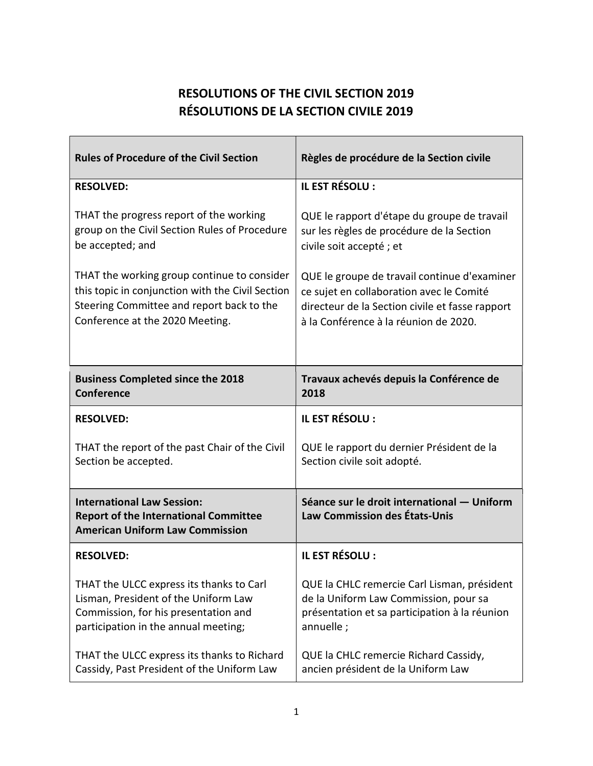## RESOLUTIONS OF THE CIVIL SECTION 2019 RÉSOLUTIONS DE LA SECTION CIVILE 2019

| <b>Rules of Procedure of the Civil Section</b>                                                                              | Règles de procédure de la Section civile                                            |
|-----------------------------------------------------------------------------------------------------------------------------|-------------------------------------------------------------------------------------|
| <b>RESOLVED:</b>                                                                                                            | IL EST RÉSOLU :                                                                     |
| THAT the progress report of the working                                                                                     | QUE le rapport d'étape du groupe de travail                                         |
| group on the Civil Section Rules of Procedure                                                                               | sur les règles de procédure de la Section                                           |
| be accepted; and                                                                                                            | civile soit accepté; et                                                             |
| THAT the working group continue to consider                                                                                 | QUE le groupe de travail continue d'examiner                                        |
| this topic in conjunction with the Civil Section                                                                            | ce sujet en collaboration avec le Comité                                            |
| Steering Committee and report back to the                                                                                   | directeur de la Section civile et fasse rapport                                     |
| Conference at the 2020 Meeting.                                                                                             | à la Conférence à la réunion de 2020.                                               |
| <b>Business Completed since the 2018</b>                                                                                    | Travaux achevés depuis la Conférence de                                             |
| <b>Conference</b>                                                                                                           | 2018                                                                                |
| <b>RESOLVED:</b>                                                                                                            | IL EST RÉSOLU :                                                                     |
| THAT the report of the past Chair of the Civil                                                                              | QUE le rapport du dernier Président de la                                           |
| Section be accepted.                                                                                                        | Section civile soit adopté.                                                         |
| <b>International Law Session:</b><br><b>Report of the International Committee</b><br><b>American Uniform Law Commission</b> | Séance sur le droit international - Uniform<br><b>Law Commission des États-Unis</b> |
| <b>RESOLVED:</b>                                                                                                            | IL EST RÉSOLU :                                                                     |
| THAT the ULCC express its thanks to Carl                                                                                    | QUE la CHLC remercie Carl Lisman, président                                         |
| Lisman, President of the Uniform Law                                                                                        | de la Uniform Law Commission, pour sa                                               |
| Commission, for his presentation and                                                                                        | présentation et sa participation à la réunion                                       |
| participation in the annual meeting;                                                                                        | annuelle;                                                                           |
| THAT the ULCC express its thanks to Richard                                                                                 | QUE la CHLC remercie Richard Cassidy,                                               |
| Cassidy, Past President of the Uniform Law                                                                                  | ancien président de la Uniform Law                                                  |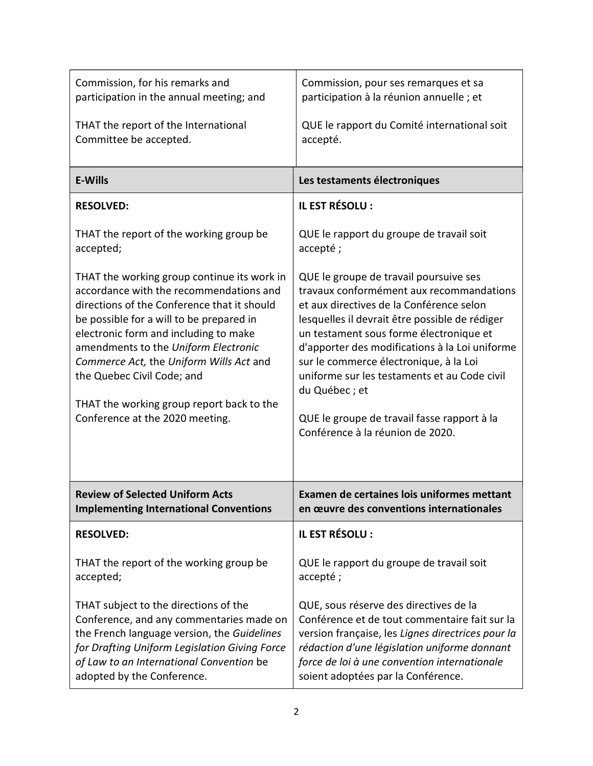| Commission, for his remarks and                                                                                                                                                                                                                                                                                                                                                                                             | Commission, pour ses remarques et sa                                                                                                                                                                                                                                                                                                                                                                                                                                        |
|-----------------------------------------------------------------------------------------------------------------------------------------------------------------------------------------------------------------------------------------------------------------------------------------------------------------------------------------------------------------------------------------------------------------------------|-----------------------------------------------------------------------------------------------------------------------------------------------------------------------------------------------------------------------------------------------------------------------------------------------------------------------------------------------------------------------------------------------------------------------------------------------------------------------------|
| participation in the annual meeting; and                                                                                                                                                                                                                                                                                                                                                                                    | participation à la réunion annuelle ; et                                                                                                                                                                                                                                                                                                                                                                                                                                    |
| THAT the report of the International                                                                                                                                                                                                                                                                                                                                                                                        | QUE le rapport du Comité international soit                                                                                                                                                                                                                                                                                                                                                                                                                                 |
| Committee be accepted.                                                                                                                                                                                                                                                                                                                                                                                                      | accepté.                                                                                                                                                                                                                                                                                                                                                                                                                                                                    |
| <b>E-Wills</b>                                                                                                                                                                                                                                                                                                                                                                                                              | Les testaments électroniques                                                                                                                                                                                                                                                                                                                                                                                                                                                |
| <b>RESOLVED:</b>                                                                                                                                                                                                                                                                                                                                                                                                            | IL EST RÉSOLU :                                                                                                                                                                                                                                                                                                                                                                                                                                                             |
| THAT the report of the working group be                                                                                                                                                                                                                                                                                                                                                                                     | QUE le rapport du groupe de travail soit                                                                                                                                                                                                                                                                                                                                                                                                                                    |
| accepted;                                                                                                                                                                                                                                                                                                                                                                                                                   | accepté;                                                                                                                                                                                                                                                                                                                                                                                                                                                                    |
| THAT the working group continue its work in<br>accordance with the recommendations and<br>directions of the Conference that it should<br>be possible for a will to be prepared in<br>electronic form and including to make<br>amendments to the Uniform Electronic<br>Commerce Act, the Uniform Wills Act and<br>the Quebec Civil Code; and<br>THAT the working group report back to the<br>Conference at the 2020 meeting. | QUE le groupe de travail poursuive ses<br>travaux conformément aux recommandations<br>et aux directives de la Conférence selon<br>lesquelles il devrait être possible de rédiger<br>un testament sous forme électronique et<br>d'apporter des modifications à la Loi uniforme<br>sur le commerce électronique, à la Loi<br>uniforme sur les testaments et au Code civil<br>du Québec; et<br>QUE le groupe de travail fasse rapport à la<br>Conférence à la réunion de 2020. |
| <b>Review of Selected Uniform Acts</b>                                                                                                                                                                                                                                                                                                                                                                                      | Examen de certaines lois uniformes mettant                                                                                                                                                                                                                                                                                                                                                                                                                                  |
| <b>Implementing International Conventions</b>                                                                                                                                                                                                                                                                                                                                                                               | en œuvre des conventions internationales                                                                                                                                                                                                                                                                                                                                                                                                                                    |
| <b>RESOLVED:</b>                                                                                                                                                                                                                                                                                                                                                                                                            | IL EST RÉSOLU :                                                                                                                                                                                                                                                                                                                                                                                                                                                             |
| THAT the report of the working group be                                                                                                                                                                                                                                                                                                                                                                                     | QUE le rapport du groupe de travail soit                                                                                                                                                                                                                                                                                                                                                                                                                                    |
| accepted;                                                                                                                                                                                                                                                                                                                                                                                                                   | accepté;                                                                                                                                                                                                                                                                                                                                                                                                                                                                    |
| THAT subject to the directions of the                                                                                                                                                                                                                                                                                                                                                                                       | QUE, sous réserve des directives de la                                                                                                                                                                                                                                                                                                                                                                                                                                      |
| Conference, and any commentaries made on                                                                                                                                                                                                                                                                                                                                                                                    | Conférence et de tout commentaire fait sur la                                                                                                                                                                                                                                                                                                                                                                                                                               |
| the French language version, the Guidelines                                                                                                                                                                                                                                                                                                                                                                                 | version française, les Lignes directrices pour la                                                                                                                                                                                                                                                                                                                                                                                                                           |
| for Drafting Uniform Legislation Giving Force                                                                                                                                                                                                                                                                                                                                                                               | rédaction d'une législation uniforme donnant                                                                                                                                                                                                                                                                                                                                                                                                                                |
| of Law to an International Convention be                                                                                                                                                                                                                                                                                                                                                                                    | force de loi à une convention internationale                                                                                                                                                                                                                                                                                                                                                                                                                                |
| adopted by the Conference.                                                                                                                                                                                                                                                                                                                                                                                                  | soient adoptées par la Conférence.                                                                                                                                                                                                                                                                                                                                                                                                                                          |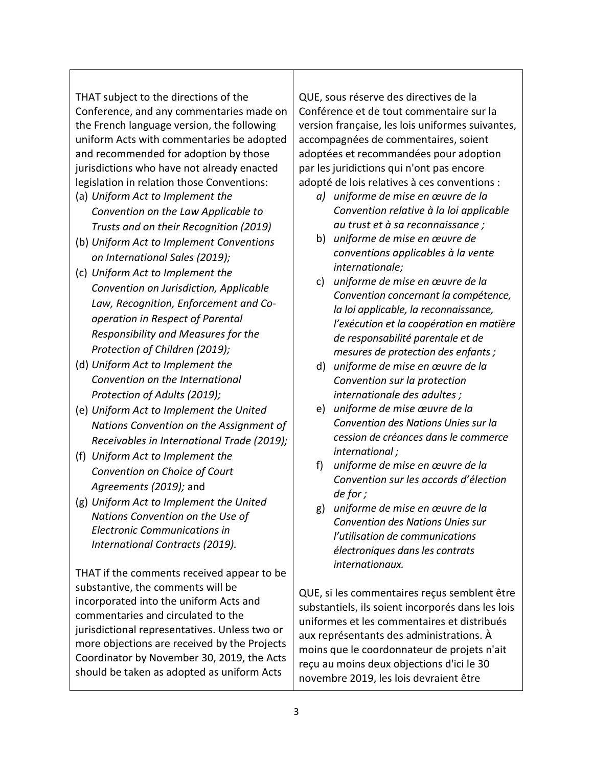THAT subject to the directions of the Conference, and any commentaries made on the French language version, the following uniform Acts with commentaries be adopted and recommended for adoption by those jurisdictions who have not already enacted legislation in relation those Conventions:

- (a) Uniform Act to Implement the Convention on the Law Applicable to Trusts and on their Recognition (2019)
- (b) Uniform Act to Implement Conventions on International Sales (2019);
- (c) Uniform Act to Implement the Convention on Jurisdiction, Applicable Law, Recognition, Enforcement and Cooperation in Respect of Parental Responsibility and Measures for the Protection of Children (2019);
- (d) Uniform Act to Implement the Convention on the International Protection of Adults (2019);
- (e) Uniform Act to Implement the United Nations Convention on the Assignment of Receivables in International Trade (2019);
- (f) Uniform Act to Implement the Convention on Choice of Court Agreements (2019); and
- (g) Uniform Act to Implement the United Nations Convention on the Use of Electronic Communications in International Contracts (2019).

THAT if the comments received appear to be substantive, the comments will be incorporated into the uniform Acts and commentaries and circulated to the jurisdictional representatives. Unless two or more objections are received by the Projects Coordinator by November 30, 2019, the Acts should be taken as adopted as uniform Acts

QUE, sous réserve des directives de la Conférence et de tout commentaire sur la version française, les lois uniformes suivantes, accompagnées de commentaires, soient adoptées et recommandées pour adoption par les juridictions qui n'ont pas encore adopté de lois relatives à ces conventions :

- a) uniforme de mise en œuvre de la Convention relative à la loi applicable au trust et à sa reconnaissance ;
- b) uniforme de mise en œuvre de conventions applicables à la vente internationale;
- c) uniforme de mise en œuvre de la Convention concernant la compétence, la loi applicable, la reconnaissance, l'exécution et la coopération en matière de responsabilité parentale et de mesures de protection des enfants ;
- d) uniforme de mise en œuvre de la Convention sur la protection internationale des adultes ;
- e) uniforme de mise œuvre de la Convention des Nations Unies sur la cession de créances dans le commerce international ;
- f) uniforme de mise en œuvre de la Convention sur les accords d'élection de for ;
- g) uniforme de mise en œuvre de la Convention des Nations Unies sur l'utilisation de communications électroniques dans les contrats internationaux.

QUE, si les commentaires reçus semblent être substantiels, ils soient incorporés dans les lois uniformes et les commentaires et distribués aux représentants des administrations. À moins que le coordonnateur de projets n'ait reçu au moins deux objections d'ici le 30 novembre 2019, les lois devraient être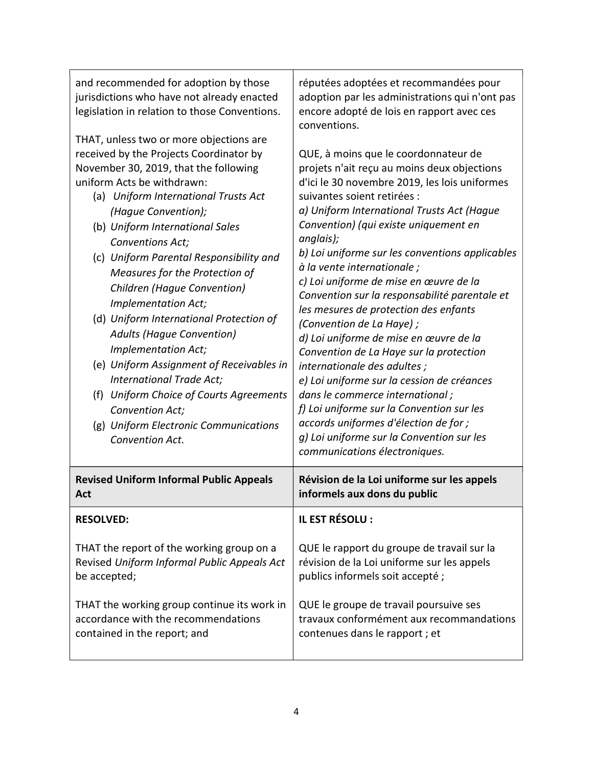| and recommended for adoption by those                                                                                                                                                                                                                                                                                                                                                                                                                                                                                                                                                                                                                                                  | réputées adoptées et recommandées pour                                                                                                                                                                                                                                                                                                                                                                                                                                                                                                                                                                                                                                                                                                                                                                                                                                                            |
|----------------------------------------------------------------------------------------------------------------------------------------------------------------------------------------------------------------------------------------------------------------------------------------------------------------------------------------------------------------------------------------------------------------------------------------------------------------------------------------------------------------------------------------------------------------------------------------------------------------------------------------------------------------------------------------|---------------------------------------------------------------------------------------------------------------------------------------------------------------------------------------------------------------------------------------------------------------------------------------------------------------------------------------------------------------------------------------------------------------------------------------------------------------------------------------------------------------------------------------------------------------------------------------------------------------------------------------------------------------------------------------------------------------------------------------------------------------------------------------------------------------------------------------------------------------------------------------------------|
| jurisdictions who have not already enacted                                                                                                                                                                                                                                                                                                                                                                                                                                                                                                                                                                                                                                             | adoption par les administrations qui n'ont pas                                                                                                                                                                                                                                                                                                                                                                                                                                                                                                                                                                                                                                                                                                                                                                                                                                                    |
| legislation in relation to those Conventions.                                                                                                                                                                                                                                                                                                                                                                                                                                                                                                                                                                                                                                          | encore adopté de lois en rapport avec ces                                                                                                                                                                                                                                                                                                                                                                                                                                                                                                                                                                                                                                                                                                                                                                                                                                                         |
| THAT, unless two or more objections are                                                                                                                                                                                                                                                                                                                                                                                                                                                                                                                                                                                                                                                | conventions.                                                                                                                                                                                                                                                                                                                                                                                                                                                                                                                                                                                                                                                                                                                                                                                                                                                                                      |
| received by the Projects Coordinator by<br>November 30, 2019, that the following<br>uniform Acts be withdrawn:<br>(a) Uniform International Trusts Act<br>(Hague Convention);<br>(b) Uniform International Sales<br>Conventions Act;<br>(c) Uniform Parental Responsibility and<br>Measures for the Protection of<br><b>Children (Hague Convention)</b><br>Implementation Act;<br>(d) Uniform International Protection of<br><b>Adults (Hague Convention)</b><br>Implementation Act;<br>(e) Uniform Assignment of Receivables in<br>International Trade Act;<br>(f) Uniform Choice of Courts Agreements<br>Convention Act;<br>(g) Uniform Electronic Communications<br>Convention Act. | QUE, à moins que le coordonnateur de<br>projets n'ait reçu au moins deux objections<br>d'ici le 30 novembre 2019, les lois uniformes<br>suivantes soient retirées :<br>a) Uniform International Trusts Act (Hague<br>Convention) (qui existe uniquement en<br>anglais);<br>b) Loi uniforme sur les conventions applicables<br>à la vente internationale;<br>c) Loi uniforme de mise en œuvre de la<br>Convention sur la responsabilité parentale et<br>les mesures de protection des enfants<br>(Convention de La Haye);<br>d) Loi uniforme de mise en œuvre de la<br>Convention de La Haye sur la protection<br>internationale des adultes;<br>e) Loi uniforme sur la cession de créances<br>dans le commerce international;<br>f) Loi uniforme sur la Convention sur les<br>accords uniformes d'élection de for ;<br>g) Loi uniforme sur la Convention sur les<br>communications électroniques. |
| <b>Revised Uniform Informal Public Appeals</b>                                                                                                                                                                                                                                                                                                                                                                                                                                                                                                                                                                                                                                         | Révision de la Loi uniforme sur les appels                                                                                                                                                                                                                                                                                                                                                                                                                                                                                                                                                                                                                                                                                                                                                                                                                                                        |
| Act                                                                                                                                                                                                                                                                                                                                                                                                                                                                                                                                                                                                                                                                                    | informels aux dons du public                                                                                                                                                                                                                                                                                                                                                                                                                                                                                                                                                                                                                                                                                                                                                                                                                                                                      |
| <b>RESOLVED:</b>                                                                                                                                                                                                                                                                                                                                                                                                                                                                                                                                                                                                                                                                       | IL EST RÉSOLU :                                                                                                                                                                                                                                                                                                                                                                                                                                                                                                                                                                                                                                                                                                                                                                                                                                                                                   |
| THAT the report of the working group on a                                                                                                                                                                                                                                                                                                                                                                                                                                                                                                                                                                                                                                              | QUE le rapport du groupe de travail sur la                                                                                                                                                                                                                                                                                                                                                                                                                                                                                                                                                                                                                                                                                                                                                                                                                                                        |
| Revised Uniform Informal Public Appeals Act                                                                                                                                                                                                                                                                                                                                                                                                                                                                                                                                                                                                                                            | révision de la Loi uniforme sur les appels                                                                                                                                                                                                                                                                                                                                                                                                                                                                                                                                                                                                                                                                                                                                                                                                                                                        |
| be accepted;                                                                                                                                                                                                                                                                                                                                                                                                                                                                                                                                                                                                                                                                           | publics informels soit accepté;                                                                                                                                                                                                                                                                                                                                                                                                                                                                                                                                                                                                                                                                                                                                                                                                                                                                   |
| THAT the working group continue its work in                                                                                                                                                                                                                                                                                                                                                                                                                                                                                                                                                                                                                                            | QUE le groupe de travail poursuive ses                                                                                                                                                                                                                                                                                                                                                                                                                                                                                                                                                                                                                                                                                                                                                                                                                                                            |
| accordance with the recommendations                                                                                                                                                                                                                                                                                                                                                                                                                                                                                                                                                                                                                                                    | travaux conformément aux recommandations                                                                                                                                                                                                                                                                                                                                                                                                                                                                                                                                                                                                                                                                                                                                                                                                                                                          |
| contained in the report; and                                                                                                                                                                                                                                                                                                                                                                                                                                                                                                                                                                                                                                                           | contenues dans le rapport ; et                                                                                                                                                                                                                                                                                                                                                                                                                                                                                                                                                                                                                                                                                                                                                                                                                                                                    |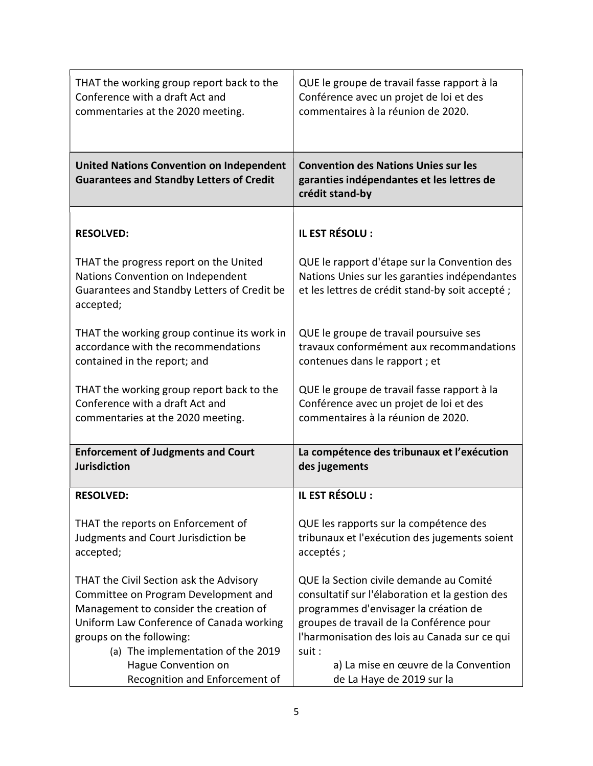| THAT the working group report back to the                                                                                               | QUE le groupe de travail fasse rapport à la                                                                                                       |
|-----------------------------------------------------------------------------------------------------------------------------------------|---------------------------------------------------------------------------------------------------------------------------------------------------|
| Conference with a draft Act and                                                                                                         | Conférence avec un projet de loi et des                                                                                                           |
| commentaries at the 2020 meeting.                                                                                                       | commentaires à la réunion de 2020.                                                                                                                |
| <b>United Nations Convention on Independent</b><br><b>Guarantees and Standby Letters of Credit</b>                                      | <b>Convention des Nations Unies sur les</b><br>garanties indépendantes et les lettres de<br>crédit stand-by                                       |
| <b>RESOLVED:</b>                                                                                                                        | IL EST RÉSOLU :                                                                                                                                   |
| THAT the progress report on the United<br>Nations Convention on Independent<br>Guarantees and Standby Letters of Credit be<br>accepted; | QUE le rapport d'étape sur la Convention des<br>Nations Unies sur les garanties indépendantes<br>et les lettres de crédit stand-by soit accepté ; |
| THAT the working group continue its work in                                                                                             | QUE le groupe de travail poursuive ses                                                                                                            |
| accordance with the recommendations                                                                                                     | travaux conformément aux recommandations                                                                                                          |
| contained in the report; and                                                                                                            | contenues dans le rapport ; et                                                                                                                    |
| THAT the working group report back to the                                                                                               | QUE le groupe de travail fasse rapport à la                                                                                                       |
| Conference with a draft Act and                                                                                                         | Conférence avec un projet de loi et des                                                                                                           |
| commentaries at the 2020 meeting.                                                                                                       | commentaires à la réunion de 2020.                                                                                                                |
| <b>Enforcement of Judgments and Court</b>                                                                                               | La compétence des tribunaux et l'exécution                                                                                                        |
| <b>Jurisdiction</b>                                                                                                                     | des jugements                                                                                                                                     |
| <b>RESOLVED:</b>                                                                                                                        | IL EST RÉSOLU :                                                                                                                                   |
| THAT the reports on Enforcement of                                                                                                      | QUE les rapports sur la compétence des                                                                                                            |
| Judgments and Court Jurisdiction be                                                                                                     | tribunaux et l'exécution des jugements soient                                                                                                     |
| accepted;                                                                                                                               | acceptés;                                                                                                                                         |
| THAT the Civil Section ask the Advisory                                                                                                 | QUE la Section civile demande au Comité                                                                                                           |
| Committee on Program Development and                                                                                                    | consultatif sur l'élaboration et la gestion des                                                                                                   |
| Management to consider the creation of                                                                                                  | programmes d'envisager la création de                                                                                                             |
| Uniform Law Conference of Canada working                                                                                                | groupes de travail de la Conférence pour                                                                                                          |
| groups on the following:                                                                                                                | l'harmonisation des lois au Canada sur ce qui                                                                                                     |
| (a) The implementation of the 2019                                                                                                      | suit :                                                                                                                                            |
| Hague Convention on                                                                                                                     | a) La mise en œuvre de la Convention                                                                                                              |
| Recognition and Enforcement of                                                                                                          | de La Haye de 2019 sur la                                                                                                                         |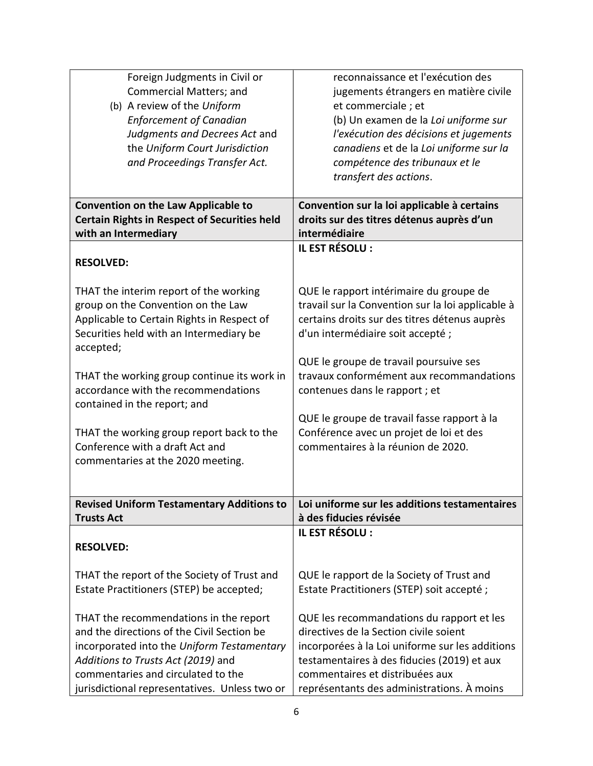| Foreign Judgments in Civil or                       | reconnaissance et l'exécution des                                                               |
|-----------------------------------------------------|-------------------------------------------------------------------------------------------------|
| <b>Commercial Matters; and</b>                      | jugements étrangers en matière civile                                                           |
| (b) A review of the Uniform                         | et commerciale; et                                                                              |
| <b>Enforcement of Canadian</b>                      | (b) Un examen de la Loi uniforme sur                                                            |
| Judgments and Decrees Act and                       | l'exécution des décisions et jugements                                                          |
| the Uniform Court Jurisdiction                      | canadiens et de la Loi uniforme sur la                                                          |
| and Proceedings Transfer Act.                       | compétence des tribunaux et le                                                                  |
|                                                     | transfert des actions.                                                                          |
|                                                     |                                                                                                 |
| <b>Convention on the Law Applicable to</b>          | Convention sur la loi applicable à certains                                                     |
| <b>Certain Rights in Respect of Securities held</b> | droits sur des titres détenus auprès d'un                                                       |
| with an Intermediary                                | intermédiaire                                                                                   |
|                                                     | IL EST RÉSOLU :                                                                                 |
| <b>RESOLVED:</b>                                    |                                                                                                 |
|                                                     |                                                                                                 |
| THAT the interim report of the working              | QUE le rapport intérimaire du groupe de                                                         |
| group on the Convention on the Law                  | travail sur la Convention sur la loi applicable à                                               |
| Applicable to Certain Rights in Respect of          | certains droits sur des titres détenus auprès                                                   |
| Securities held with an Intermediary be             | d'un intermédiaire soit accepté;                                                                |
| accepted;                                           |                                                                                                 |
|                                                     | QUE le groupe de travail poursuive ses                                                          |
| THAT the working group continue its work in         | travaux conformément aux recommandations                                                        |
| accordance with the recommendations                 | contenues dans le rapport ; et                                                                  |
| contained in the report; and                        |                                                                                                 |
|                                                     | QUE le groupe de travail fasse rapport à la                                                     |
| THAT the working group report back to the           | Conférence avec un projet de loi et des                                                         |
| Conference with a draft Act and                     | commentaires à la réunion de 2020.                                                              |
| commentaries at the 2020 meeting.                   |                                                                                                 |
|                                                     |                                                                                                 |
|                                                     | Revised Uniform Testamentary Additions to $\vert$ Loi uniforme sur les additions testamentaires |
| <b>Trusts Act</b>                                   | à des fiducies révisée                                                                          |
|                                                     | IL EST RÉSOLU :                                                                                 |
| <b>RESOLVED:</b>                                    |                                                                                                 |
|                                                     |                                                                                                 |
| THAT the report of the Society of Trust and         | QUE le rapport de la Society of Trust and                                                       |
| Estate Practitioners (STEP) be accepted;            | Estate Practitioners (STEP) soit accepté ;                                                      |
|                                                     |                                                                                                 |
| THAT the recommendations in the report              | QUE les recommandations du rapport et les                                                       |
| and the directions of the Civil Section be          | directives de la Section civile soient                                                          |
| incorporated into the Uniform Testamentary          | incorporées à la Loi uniforme sur les additions                                                 |
| Additions to Trusts Act (2019) and                  | testamentaires à des fiducies (2019) et aux                                                     |
| commentaries and circulated to the                  | commentaires et distribuées aux                                                                 |
| jurisdictional representatives. Unless two or       | représentants des administrations. À moins                                                      |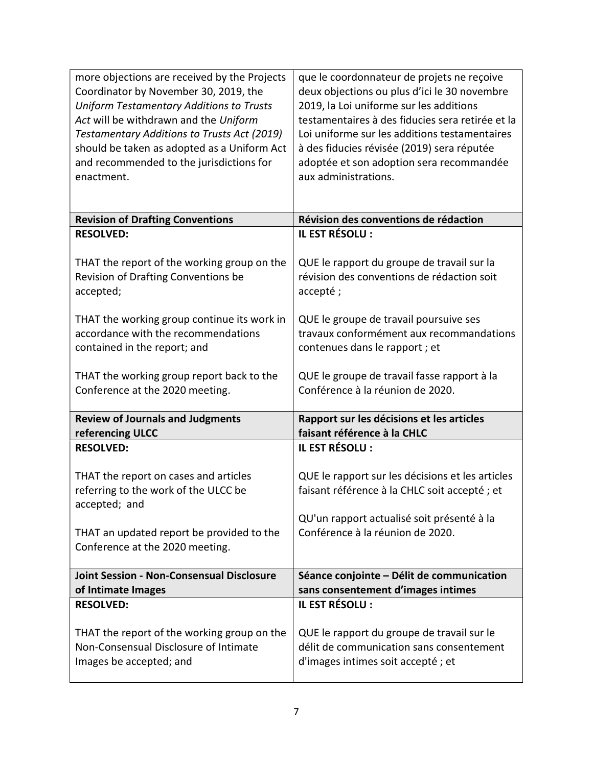| more objections are received by the Projects<br>Coordinator by November 30, 2019, the<br><b>Uniform Testamentary Additions to Trusts</b><br>Act will be withdrawn and the Uniform<br>Testamentary Additions to Trusts Act (2019)<br>should be taken as adopted as a Uniform Act<br>and recommended to the jurisdictions for<br>enactment. | que le coordonnateur de projets ne reçoive<br>deux objections ou plus d'ici le 30 novembre<br>2019, la Loi uniforme sur les additions<br>testamentaires à des fiducies sera retirée et la<br>Loi uniforme sur les additions testamentaires<br>à des fiducies révisée (2019) sera réputée<br>adoptée et son adoption sera recommandée<br>aux administrations. |
|-------------------------------------------------------------------------------------------------------------------------------------------------------------------------------------------------------------------------------------------------------------------------------------------------------------------------------------------|--------------------------------------------------------------------------------------------------------------------------------------------------------------------------------------------------------------------------------------------------------------------------------------------------------------------------------------------------------------|
| <b>Revision of Drafting Conventions</b>                                                                                                                                                                                                                                                                                                   | Révision des conventions de rédaction                                                                                                                                                                                                                                                                                                                        |
| <b>RESOLVED:</b>                                                                                                                                                                                                                                                                                                                          | IL EST RÉSOLU :                                                                                                                                                                                                                                                                                                                                              |
| THAT the report of the working group on the<br>Revision of Drafting Conventions be<br>accepted;                                                                                                                                                                                                                                           | QUE le rapport du groupe de travail sur la<br>révision des conventions de rédaction soit<br>accepté;                                                                                                                                                                                                                                                         |
| THAT the working group continue its work in<br>accordance with the recommendations<br>contained in the report; and                                                                                                                                                                                                                        | QUE le groupe de travail poursuive ses<br>travaux conformément aux recommandations<br>contenues dans le rapport ; et                                                                                                                                                                                                                                         |
| THAT the working group report back to the<br>Conference at the 2020 meeting.                                                                                                                                                                                                                                                              | QUE le groupe de travail fasse rapport à la<br>Conférence à la réunion de 2020.                                                                                                                                                                                                                                                                              |
| <b>Review of Journals and Judgments</b><br>referencing ULCC                                                                                                                                                                                                                                                                               | Rapport sur les décisions et les articles<br>faisant référence à la CHLC                                                                                                                                                                                                                                                                                     |
| <b>RESOLVED:</b>                                                                                                                                                                                                                                                                                                                          | IL EST RÉSOLU :                                                                                                                                                                                                                                                                                                                                              |
| THAT the report on cases and articles<br>referring to the work of the ULCC be<br>accepted; and                                                                                                                                                                                                                                            | QUE le rapport sur les décisions et les articles<br>faisant référence à la CHLC soit accepté ; et<br>QU'un rapport actualisé soit présenté à la                                                                                                                                                                                                              |
| THAT an updated report be provided to the<br>Conference at the 2020 meeting.                                                                                                                                                                                                                                                              | Conférence à la réunion de 2020.                                                                                                                                                                                                                                                                                                                             |
| <b>Joint Session - Non-Consensual Disclosure</b>                                                                                                                                                                                                                                                                                          | Séance conjointe – Délit de communication                                                                                                                                                                                                                                                                                                                    |
| of Intimate Images                                                                                                                                                                                                                                                                                                                        | sans consentement d'images intimes<br>IL EST RÉSOLU :                                                                                                                                                                                                                                                                                                        |
| <b>RESOLVED:</b><br>THAT the report of the working group on the<br>Non-Consensual Disclosure of Intimate<br>Images be accepted; and                                                                                                                                                                                                       | QUE le rapport du groupe de travail sur le<br>délit de communication sans consentement<br>d'images intimes soit accepté ; et                                                                                                                                                                                                                                 |